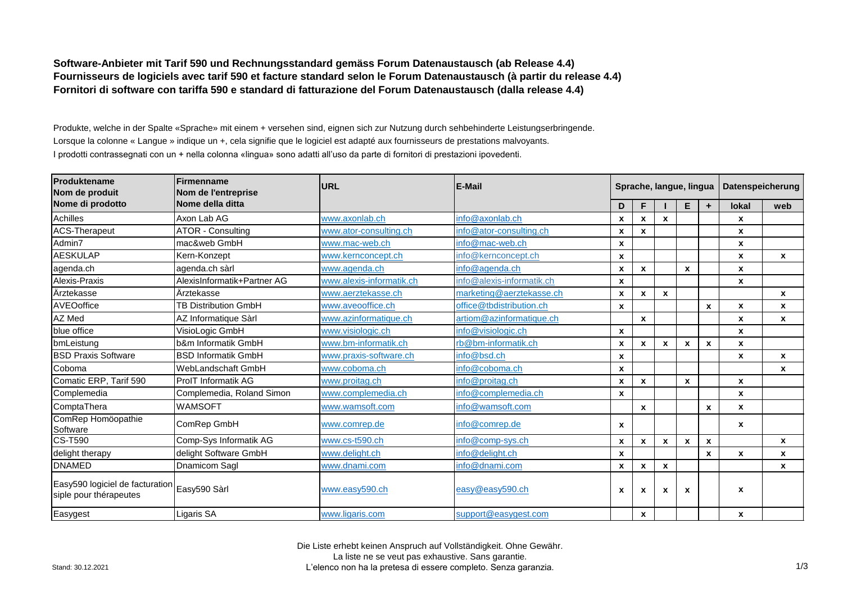**Software-Anbieter mit Tarif 590 und Rechnungsstandard gemäss Forum Datenaustausch (ab Release 4.4) Fournisseurs de logiciels avec tarif 590 et facture standard selon le Forum Datenaustausch (à partir du release 4.4) Fornitori di software con tariffa 590 e standard di fatturazione del Forum Datenaustausch (dalla release 4.4)** 

Produkte, welche in der Spalte «Sprache» mit einem + versehen sind, eignen sich zur Nutzung durch sehbehinderte Leistungserbringende. Lorsque la colonne « Langue » indique un +, cela signifie que le logiciel est adapté aux fournisseurs de prestations malvoyants. I prodotti contrassegnati con un + nella colonna «lingua» sono adatti all'uso da parte di fornitori di prestazioni ipovedenti.

| Produktename<br>Nom de produit                                         | Firmenname<br>Nom de l'entreprise | URL                      | <b>E-Mail</b>             |                    | Sprache, langue, lingua |                  |                           |                    | Datenspeicherung |                  |  |
|------------------------------------------------------------------------|-----------------------------------|--------------------------|---------------------------|--------------------|-------------------------|------------------|---------------------------|--------------------|------------------|------------------|--|
| Nome di prodotto                                                       | Nome della ditta                  |                          |                           | D                  |                         |                  | Е                         | ÷                  | <b>lokal</b>     | web              |  |
| Achilles                                                               | Axon Lab AG                       | www.axonlab.ch           | info@axonlab.ch           | $\pmb{\chi}$       | X                       | X                |                           |                    | X                |                  |  |
| <b>ACS-Therapeut</b>                                                   | <b>ATOR - Consulting</b>          | www.ator-consulting.ch   | info@ator-consulting.ch   | X                  | x                       |                  |                           |                    | X                |                  |  |
| Admin7                                                                 | mac&web GmbH                      | www.mac-web.ch           | info@mac-web.ch           | $\pmb{\mathsf{x}}$ |                         |                  |                           |                    | X                |                  |  |
| <b>AESKULAP</b>                                                        | Kern-Konzept                      | www.kernconcept.ch       | info@kernconcept.ch       | X                  |                         |                  |                           |                    | $\mathbf{x}$     | $\mathbf{x}$     |  |
| agenda.ch                                                              | agenda.ch sàrl                    | www.agenda.ch            | info@agenda.ch            | X                  | X                       |                  | $\mathbf{x}$              |                    | $\mathbf{x}$     |                  |  |
| Alexis-Praxis                                                          | AlexisInformatik+Partner AG       | www.alexis-informatik.ch | info@alexis-informatik.ch | $\mathbf x$        |                         |                  |                           |                    | X                |                  |  |
| Ärztekasse                                                             | Ärztekasse                        | www.aerztekasse.ch       | marketing@aerztekasse.ch  | $\pmb{\chi}$       | X                       | $\boldsymbol{x}$ |                           |                    |                  | $\boldsymbol{x}$ |  |
| AVEOoffice                                                             | <b>TB Distribution GmbH</b>       | www.aveooffice.ch        | office@tbdistribution.ch  | $\boldsymbol{x}$   |                         |                  |                           | $\boldsymbol{x}$   | X                | $\boldsymbol{x}$ |  |
| AZ Med                                                                 | AZ Informatique Sàrl              | www.azinformatique.ch    | artiom@azinformatique.ch  |                    | X                       |                  |                           |                    | X                | $\mathbf{x}$     |  |
| blue office                                                            | VisioLogic GmbH                   | www.visiologic.ch        | info@visiologic.ch        | $\pmb{\mathsf{x}}$ |                         |                  |                           |                    | X                |                  |  |
| bmLeistung                                                             | b&m Informatik GmbH               | www.bm-informatik.ch     | rb@bm-informatik.ch       | $\pmb{\mathsf{x}}$ | X                       | X                | $\mathbf{x}$              | $\boldsymbol{x}$   | $\mathbf{x}$     |                  |  |
| <b>BSD Praxis Software</b>                                             | <b>BSD Informatik GmbH</b>        | www.praxis-software.ch   | info@bsd.ch               | $\pmb{\mathsf{x}}$ |                         |                  |                           |                    | X                | $\mathbf{x}$     |  |
| Coboma                                                                 | WebLandschaft GmbH                | www.coboma.ch            | info@coboma.ch            | $\pmb{\mathsf{x}}$ |                         |                  |                           |                    |                  | X                |  |
| Comatic ERP, Tarif 590                                                 | <b>ProIT Informatik AG</b>        | www.proitag.ch           | info@proitag.ch           | X                  | X                       |                  | $\mathbf{x}$              |                    | $\mathbf{x}$     |                  |  |
| Complemedia                                                            | Complemedia, Roland Simon         | www.complemedia.ch       | info@complemedia.ch       | $\pmb{\mathsf{x}}$ |                         |                  |                           |                    | $\mathbf{x}$     |                  |  |
| ComptaThera                                                            | WAMSOFT                           | www.wamsoft.com          | info@wamsoft.com          |                    | X                       |                  |                           | $\mathbf{x}$       | X                |                  |  |
| ComRep Homöopathie<br>Software                                         | ComRep GmbH                       | www.comrep.de            | info@comrep.de            | X                  |                         |                  |                           |                    | $\boldsymbol{x}$ |                  |  |
| <b>CS-T590</b>                                                         | Comp-Sys Informatik AG            | www.cs-t590.ch           | info@comp-sys.ch          | $\pmb{\mathsf{x}}$ | X                       | $\pmb{\chi}$     | $\mathbf{x}$              | $\pmb{\mathsf{x}}$ |                  | $\mathbf{x}$     |  |
| delight therapy                                                        | delight Software GmbH             | www.delight.ch           | info@delight.ch           | $\pmb{\chi}$       |                         |                  |                           | X                  | $\pmb{\chi}$     | $\mathbf{x}$     |  |
| <b>DNAMED</b>                                                          | Dnamicom Sagl                     | www.dnami.com            | info@dnami.com            | $\pmb{\mathsf{x}}$ | X                       | X                |                           |                    |                  | X                |  |
| Easy590 logiciel de facturation Easy590 Sàrl<br>siple pour thérapeutes |                                   | www.easy590.ch           | easy@easy590.ch           | X                  | x                       | X                | $\boldsymbol{\mathsf{x}}$ |                    | X                |                  |  |
| Easygest                                                               | Ligaris SA                        | www.ligaris.com          | support@easygest.com      |                    | X                       |                  |                           |                    | $\boldsymbol{x}$ |                  |  |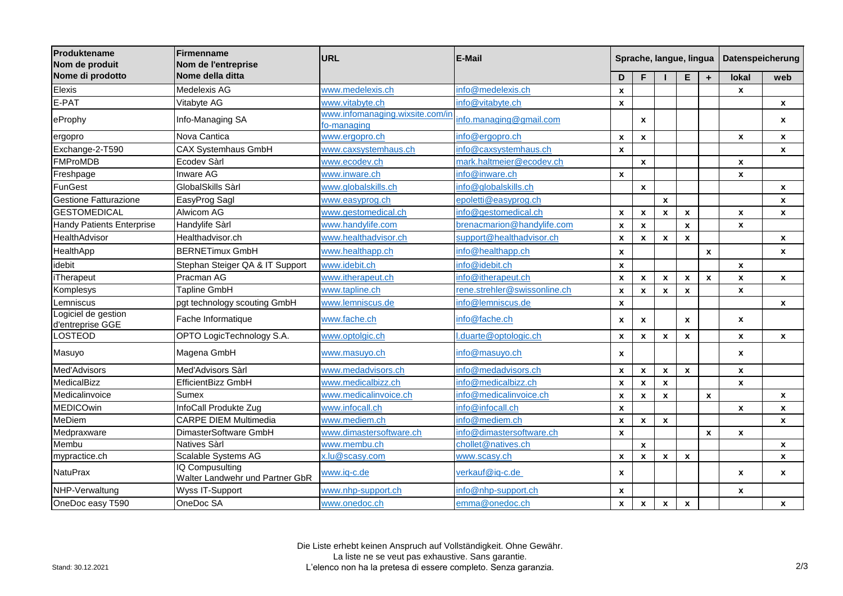| Produktename<br>Nom de produit<br>Nome di prodotto | Firmenname<br>Nom de l'entreprise<br>Nome della ditta    | <b>URL</b>                                     | E-Mail                       |                           | Sprache, langue, lingua   |                    |                    |              | Datenspeicherung   |                    |  |
|----------------------------------------------------|----------------------------------------------------------|------------------------------------------------|------------------------------|---------------------------|---------------------------|--------------------|--------------------|--------------|--------------------|--------------------|--|
|                                                    |                                                          |                                                |                              | D                         | F                         |                    | Е                  | $\ddot{}$    | <b>lokal</b>       | web                |  |
| Elexis                                             | Medelexis AG                                             | www.medelexis.ch                               | info@medelexis.ch            | $\boldsymbol{\mathsf{x}}$ |                           |                    |                    |              | $\pmb{\mathsf{x}}$ |                    |  |
| E-PAT                                              | Vitabyte AG                                              | www.vitabyte.ch                                | info@vitabyte.ch             | $\boldsymbol{x}$          |                           |                    |                    |              |                    | $\pmb{\chi}$       |  |
| eProphy                                            | Info-Managing SA                                         | www.infomanaging.wixsite.com/in<br>fo-managing | info.managing@gmail.com      |                           | $\boldsymbol{x}$          |                    |                    |              |                    | $\pmb{\mathsf{x}}$ |  |
| ergopro                                            | Nova Cantica                                             | www.ergopro.ch                                 | info@ergopro.ch              | $\boldsymbol{x}$          | $\pmb{\chi}$              |                    |                    |              | $\mathbf{x}$       | $\mathbf{x}$       |  |
| Exchange-2-T590                                    | <b>CAX Systemhaus GmbH</b>                               | www.caxsystemhaus.ch                           | info@caxsystemhaus.ch        | $\boldsymbol{x}$          |                           |                    |                    |              |                    | X                  |  |
| <b>FMProMDB</b>                                    | Ecodev Sàrl                                              | www.ecodev.ch                                  | mark.haltmeier@ecodev.ch     |                           | $\mathbf x$               |                    |                    |              | $\mathbf{x}$       |                    |  |
| Freshpage                                          | <b>Inware AG</b>                                         | www.inware.ch                                  | info@inware.ch               | $\mathbf x$               |                           |                    |                    |              | $\mathbf{x}$       |                    |  |
| <b>FunGest</b>                                     | GlobalSkills Sàrl                                        | www.globalskills.ch                            | info@globalskills.ch         |                           | $\pmb{\chi}$              |                    |                    |              |                    | $\pmb{\chi}$       |  |
| <b>Gestione Fatturazione</b>                       | EasyProg Sagl                                            | www.easyprog.ch                                | epoletti@easyprog.ch         |                           |                           | $\pmb{\mathsf{x}}$ |                    |              |                    | $\pmb{\mathsf{x}}$ |  |
| <b>GESTOMEDICAL</b>                                | Alwicom AG                                               | www.gestomedical.ch                            | info@gestomedical.ch         | $\boldsymbol{x}$          | $\pmb{\chi}$              | $\pmb{\mathsf{x}}$ | $\pmb{\mathsf{x}}$ |              | $\pmb{\mathsf{x}}$ | X                  |  |
| <b>Handy Patients Enterprise</b>                   | Handylife Sàrl                                           | www.handylife.com                              | brenacmarion@handylife.com   | $\boldsymbol{\mathsf{x}}$ | $\pmb{\chi}$              |                    | $\pmb{\mathsf{x}}$ |              | X                  |                    |  |
| HealthAdvisor                                      | Healthadvisor.ch                                         | www.healthadvisor.ch                           | support@healthadvisor.ch     | $\boldsymbol{\mathsf{x}}$ | $\boldsymbol{\mathsf{x}}$ | $\pmb{\mathsf{x}}$ | $\pmb{\mathsf{x}}$ |              |                    | $\pmb{\mathsf{x}}$ |  |
| HealthApp                                          | <b>BERNETimux GmbH</b>                                   | www.healthapp.ch                               | info@healthapp.ch            | $\boldsymbol{x}$          |                           |                    |                    | $\pmb{\chi}$ |                    | $\pmb{\mathsf{x}}$ |  |
| idebit                                             | Stephan Steiger QA & IT Support                          | www.idebit.ch                                  | info@idebit.ch               | $\boldsymbol{x}$          |                           |                    |                    |              | $\pmb{\mathsf{x}}$ |                    |  |
| <b>iTherapeut</b>                                  | Pracman AG                                               | www.itherapeut.ch                              | info@itherapeut.ch           | $\boldsymbol{\mathsf{x}}$ | $\pmb{\chi}$              | $\pmb{\mathsf{x}}$ | $\pmb{\mathsf{x}}$ | $\pmb{\chi}$ | X                  | $\pmb{\mathsf{x}}$ |  |
| Komplesys                                          | Tapline GmbH                                             | www.tapline.ch                                 | rene.strehler@swissonline.ch | $\boldsymbol{\mathsf{x}}$ | $\pmb{\chi}$              | $\pmb{\mathsf{x}}$ | $\mathbf{x}$       |              | X                  |                    |  |
| Lemniscus                                          | pgt technology scouting GmbH                             | www.lemniscus.de                               | info@lemniscus.de            | $\boldsymbol{\mathsf{x}}$ |                           |                    |                    |              |                    | $\pmb{\chi}$       |  |
| Logiciel de gestion<br>d'entreprise GGE            | Fache Informatique                                       | www.fache.ch                                   | info@fache.ch                | $\boldsymbol{x}$          | $\pmb{\chi}$              |                    | X                  |              | X                  |                    |  |
| <b>LOSTEOD</b>                                     | OPTO LogicTechnology S.A.                                | www.optolgic.ch                                | duarte@optologic.ch          | $\pmb{\mathsf{x}}$        | $\pmb{\chi}$              | $\pmb{\mathsf{x}}$ | $\pmb{\mathsf{x}}$ |              | $\pmb{\mathsf{x}}$ | $\pmb{\mathsf{x}}$ |  |
| Masuyo                                             | Magena GmbH                                              | www.masuyo.ch                                  | info@masuyo.ch               | $\boldsymbol{x}$          |                           |                    |                    |              | $\mathbf{x}$       |                    |  |
| Med'Advisors                                       | Med'Advisors Sàrl                                        | www.medadvisors.ch                             | info@medadvisors.ch          | $\boldsymbol{\mathsf{x}}$ | $\pmb{\chi}$              | $\pmb{\mathsf{x}}$ | $\mathbf{x}$       |              | $\pmb{\mathsf{x}}$ |                    |  |
| MedicalBizz                                        | EfficientBizz GmbH                                       | www.medicalbizz.ch                             | info@medicalbizz.ch          | $\boldsymbol{\mathsf{x}}$ | $\pmb{\chi}$              | $\mathbf{x}$       |                    |              | $\mathbf{x}$       |                    |  |
| Medicalinvoice                                     | Sumex                                                    | www.medicalinvoice.ch                          | info@medicalinvoice.ch       | $\boldsymbol{\mathsf{x}}$ | $\pmb{\chi}$              | $\pmb{\mathsf{x}}$ |                    | $\pmb{\chi}$ |                    | $\pmb{\mathsf{x}}$ |  |
| <b>MEDICOwin</b>                                   | InfoCall Produkte Zug                                    | www.infocall.ch                                | info@infocall.ch             | $\boldsymbol{\mathsf{x}}$ |                           |                    |                    |              | X                  | $\pmb{\mathsf{x}}$ |  |
| <b>MeDiem</b>                                      | <b>CARPE DIEM Multimedia</b>                             | www.mediem.ch                                  | info@mediem.ch               | $\boldsymbol{\mathsf{x}}$ | $\pmb{\chi}$              | $\pmb{\mathsf{x}}$ |                    |              |                    | $\pmb{\mathsf{x}}$ |  |
| Medpraxware                                        | DimasterSoftware GmbH                                    | www.dimastersoftware.ch                        | info@dimastersoftware.ch     | $\boldsymbol{x}$          |                           |                    |                    | $\pmb{\chi}$ | X                  |                    |  |
| Membu                                              | <b>Natives Sàrl</b>                                      | www.membu.ch                                   | chollet@natives.ch           |                           | $\pmb{\chi}$              |                    |                    |              |                    | $\pmb{\chi}$       |  |
| mypractice.ch                                      | Scalable Systems AG                                      | x.lu@scasy.com                                 | www.scasv.ch                 | $\boldsymbol{\mathsf{x}}$ | $\pmb{\chi}$              | $\pmb{\mathsf{x}}$ | $\pmb{\chi}$       |              |                    | $\mathbf{x}$       |  |
| <b>NatuPrax</b>                                    | <b>Q</b> Compusulting<br>Walter Landwehr und Partner GbR | www.iq-c.de                                    | verkauf@iq-c.de              | $\boldsymbol{\mathsf{x}}$ |                           |                    |                    |              | X                  | $\boldsymbol{x}$   |  |
| NHP-Verwaltung                                     | Wyss IT-Support                                          | www.nhp-support.ch                             | info@nhp-support.ch          | $\pmb{\chi}$              |                           |                    |                    |              | $\mathbf{x}$       |                    |  |
| OneDoc easy T590                                   | OneDoc SA                                                | www.onedoc.ch                                  | emma@onedoc.ch               | $\mathbf{x}$              | $\mathbf{x}$              | $\mathbf{x}$       | $\mathbf{x}$       |              |                    | X                  |  |